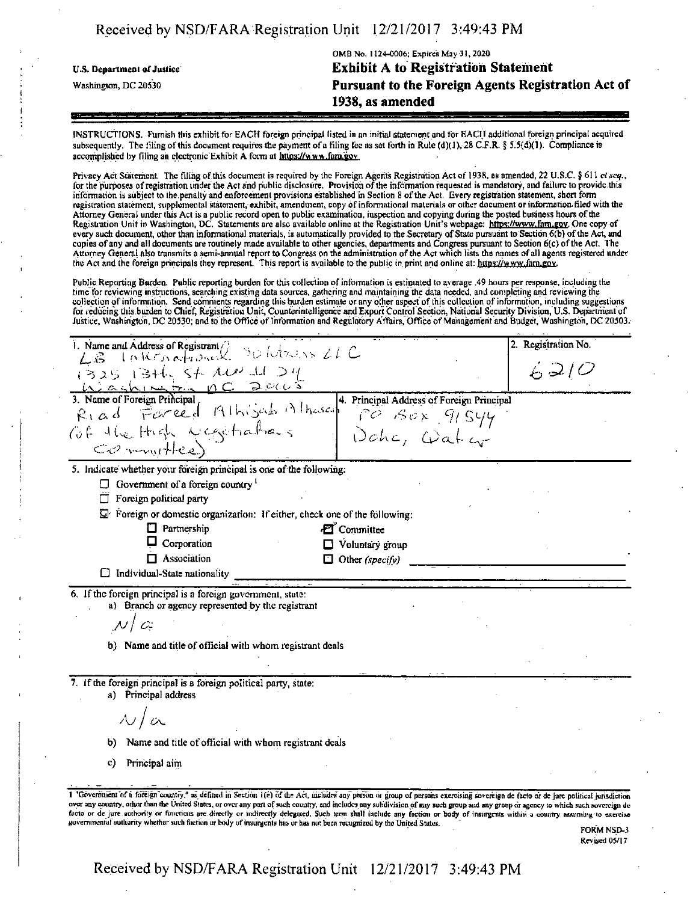|  | Received by NSD/FARA Registration Unit 12/21/2017 3:49:43 PM |  |
|--|--------------------------------------------------------------|--|
|  |                                                              |  |

| U.S. Department of Justice | OMB No. 1124-0006; Expires May 31, 2020<br><b>Exhibit A to Registration Statement</b> |  |  |
|----------------------------|---------------------------------------------------------------------------------------|--|--|
| Washington, DC 20530       | Pursuant to the Foreign Agents Registration Act of                                    |  |  |
|                            | 1938, as amended                                                                      |  |  |
|                            |                                                                                       |  |  |

INSTRUCTIONS. FUmish tliis exhibit tor EACH foreign principal listed in an initial statemenc and for EACH additional foreign principal acquired subsequently. The filing of this document requires the payment of a filing tee as set forth in Rule (d)(1), 28 C.F.R. § 5.5(d)(1). Compliance is accomplished by filing an electronic Exhibit A form at https://www.fara.gov.

Privacy Act Statement. The filing of this document is required by the Foreign Agents Registration Act of 1938, as amended, 22 U.S.C. § 611 *et seq.*,<br>for the purposes of registration under the Act and public disclosure. Pr information is subject to the penalty and enforcement provisions established in Section 8 ofthe Act. Every registration statement, short form registration statement, supplemental statement, exhibit, amendment, copy ofinformational materials or other document orinformation-filed with the Attorney General under this Act is a public record open to public examination, inspection and copying during the posted business hours ofthe Registration Unit in Washington, DC. Statements are also available online at the Registration Unit's webpage: https://www.fam.gov. One copy of every such document, other than informational materials, is automatically provided to the Secretary of State pursuant to Section 6(b) of the Act, and copies ofany and el! documents are routinely made available to other agencies, depaitments and Congress pursuant to Section 6(c) ofthe Act. The Attorney General also transmits a semi-annual report to Congress on the administration ofthe Act which lists the names of ail agents registered under the Act and the foreign principals they represent. This report is available to the public in print and online at: https://www.fam.gov.

Public Reporting Burden. Public reporting burden for this collection ofinformation is estimated to average .49 hours per response, including the time tor reviewing instructions, searching existing data sources, gathering and maintaining the data needed, and completing and reviewing the collection ofinformation. Send comments regarding this burden estimate or any other aspect ofthis collection ofinformation, including suggestions for reducing this burden to Chief, Registration Unit, Counterintelligence and Export Control Section, National Security Division, U.S. Department of<br>Justice, Washington, DC 20530; and to the Office of Information and Regul

| i. Name and Address of Registrant C 30 lutes is 21 C                                                                                                                                                                                                                                                                                                                                                                                                                                                                                                                                                                                                                                  | Registration No.<br>2. |
|---------------------------------------------------------------------------------------------------------------------------------------------------------------------------------------------------------------------------------------------------------------------------------------------------------------------------------------------------------------------------------------------------------------------------------------------------------------------------------------------------------------------------------------------------------------------------------------------------------------------------------------------------------------------------------------|------------------------|
| Lis<br>$13251346$ , St. All 11 24<br>Washington DC 2005                                                                                                                                                                                                                                                                                                                                                                                                                                                                                                                                                                                                                               | 6210                   |
| 3. Name of Foreign Principal<br>4. Principal Address of Foreign Principal                                                                                                                                                                                                                                                                                                                                                                                                                                                                                                                                                                                                             |                        |
| Forced Alhijah Alhasan<br>$R_{1}$ ad                                                                                                                                                                                                                                                                                                                                                                                                                                                                                                                                                                                                                                                  |                        |
| Of the High Magitralians                                                                                                                                                                                                                                                                                                                                                                                                                                                                                                                                                                                                                                                              |                        |
| PO BOX 91544<br>Committee)                                                                                                                                                                                                                                                                                                                                                                                                                                                                                                                                                                                                                                                            |                        |
| 5. Indicate whether your foreign principal is one of the following:                                                                                                                                                                                                                                                                                                                                                                                                                                                                                                                                                                                                                   |                        |
| $\Box$ Government of a foreign country                                                                                                                                                                                                                                                                                                                                                                                                                                                                                                                                                                                                                                                |                        |
| Foreign political party<br>$\Box$                                                                                                                                                                                                                                                                                                                                                                                                                                                                                                                                                                                                                                                     |                        |
| $\mathbb{Z}^r$ Foreign or domestic organization: If either, check one of the following:                                                                                                                                                                                                                                                                                                                                                                                                                                                                                                                                                                                               |                        |
| $\Box$ Partnership<br><b>Z</b> Committee                                                                                                                                                                                                                                                                                                                                                                                                                                                                                                                                                                                                                                              |                        |
| Corporation<br>$\Box$ Voluntary group                                                                                                                                                                                                                                                                                                                                                                                                                                                                                                                                                                                                                                                 |                        |
| $\Box$ Association<br>$\Box$ Other (specify)                                                                                                                                                                                                                                                                                                                                                                                                                                                                                                                                                                                                                                          |                        |
| Individual-State nationality                                                                                                                                                                                                                                                                                                                                                                                                                                                                                                                                                                                                                                                          |                        |
| 6. If the foreign principal is a foreign government, state:<br>a) Branch or agency represented by the registrant<br>$\mathcal{N} \setminus \mathcal{C}$<br>b) Name and title of official with whom registrant deals                                                                                                                                                                                                                                                                                                                                                                                                                                                                   |                        |
| 7. If the foreign principal is a foreign political party, state:<br>a) Principal address<br>$\mathcal{N}/\mathcal{C}$                                                                                                                                                                                                                                                                                                                                                                                                                                                                                                                                                                 |                        |
|                                                                                                                                                                                                                                                                                                                                                                                                                                                                                                                                                                                                                                                                                       |                        |
| Name and title of official with whom registrant deals<br>b)                                                                                                                                                                                                                                                                                                                                                                                                                                                                                                                                                                                                                           |                        |
| C)<br>Principal aim                                                                                                                                                                                                                                                                                                                                                                                                                                                                                                                                                                                                                                                                   |                        |
| I "Government of a foreign country," as defined in Section 1(c) of the Act, includes any person or group of persons exercising sovereign de facto or de jure political jurisdiction<br>over any country, other than the United States, or over any part of such country, and includes any subdivision of any such group and any group or agency to which such sovereign de<br>facto or de jure authority or functions are directly or indirectly delegated. Such term shall include any faction or body of insurgents within a country assuming to exercise<br>governmental authority whether such faction or body of insurgents has or has not been recognized by the United States. | FORM NSD-3             |

Revised 05/17

Received by NSD/FARA Registration Unit 12/21/2017 3:49:43 PM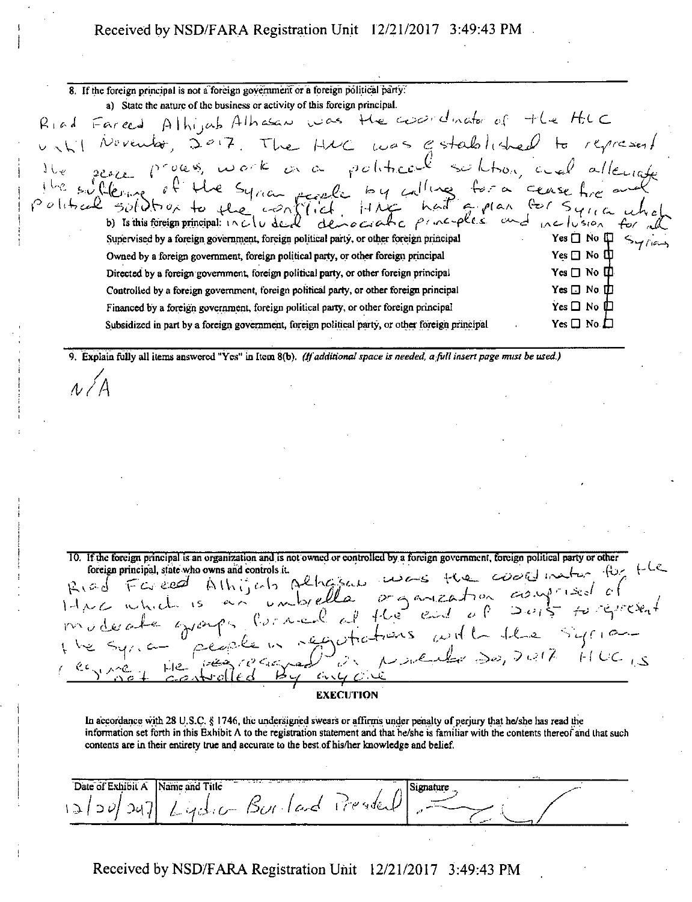### Received by NSD/FARA Registration Unit 12/21/2017 3:49:43 PM

| 8. If the foreign principal is not a foreign government or a foreign political party.           |                                            |
|-------------------------------------------------------------------------------------------------|--------------------------------------------|
| a) State the nature of the business or activity of this foreign principal.                      |                                            |
| Riad Fareed Alhijab Alhasan was the coordinator of the HUC                                      |                                            |
| November, 2017. The HMC was established to represent                                            |                                            |
| the sease process work as a political solution, and allengte                                    |                                            |
|                                                                                                 |                                            |
|                                                                                                 |                                            |
|                                                                                                 |                                            |
| Supervised by a foreign government, foreign political party, or other foreign principal         | Yes $\Box$ No $\Box$                       |
| Owned by a foreign government, foreign political party, or other foreign principal              | $Yes \Box No \Box$                         |
| Directed by a foreign government, foreign political party, or other foreign principal           | $\mathrm{Yes} \ \Box \ \mathrm{No} \ \Box$ |
| Controlled by a foreign government, foreign political party, or other foreign principal         | $Yes \Box No \Box$                         |
| Financed by a foreign government, foreign political party, or other foreign principal           | Yes $\Box$ No $\Box$                       |
| Subsidized in part by a foreign government, foreign political party, or other foreign principal | $Yes \Box No \Box$                         |
|                                                                                                 |                                            |

9. Explain fully all items answered "Yes" in Item 8(b). (If additional space is needed, a full insert page must be used.)

 $\Lambda / A$ 

10. If the foreign principal is an organization and is not owned or controlled by a foreign government, foreign political party or other organization and is not owned or controlled by a foreign government, foreign political party or other<br>was and controls it.<br>Althis cats public of the codification of the codification of the the<br>and control called of the ess foreign principal, state who owns and controls it. Riad Fareed  $14nc$  which  $\sqrt{5}$ moderate grant  $\Box$ e **EXECUTION** 

In accordance with 28 U.S.C. § 1746, the undersigned swears or affirms under penalty of perjury that he/she has read the information set forth in this Exhibit  $\Lambda$  to the registration statement and that he/she is familiar with the contents thereof and that such contents are in their entirety true and accurate to the best of his/her knowledge and belief.

| Date of Exhibit A | .<br>Name and Title          |  |  |
|-------------------|------------------------------|--|--|
| 3 20              | 'sy] Lydia Burlard President |  |  |
|                   |                              |  |  |

Received by NSD/FARA Registration Unit 12/21/2017 3:49:43 PM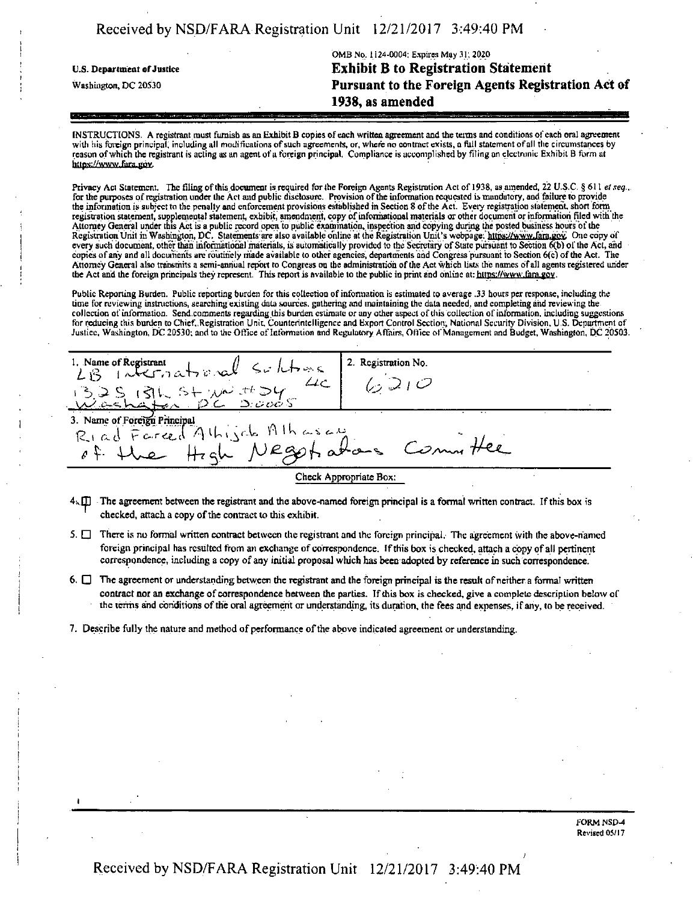|  | Received by NSD/FARA Registration Unit 12/21/2017 3:49:40 PM |  |
|--|--------------------------------------------------------------|--|
|  |                                                              |  |

|                            | OMB No. 1124-0004: Expires May 31, 2020            |
|----------------------------|----------------------------------------------------|
| U.S. Department of Justice | <b>Exhibit B to Registration Statement</b>         |
| Washington, DC 20530       | Pursuant to the Foreign Agents Registration Act of |
|                            | 1938, as amended                                   |

INSTRUCTIONS. A registrant must furnish as an Exhibit B copies of each written agreement and the terms and conditions of each oral agreement with his foreign principal, including all modifications of such agreements, or, where no contract exists, a full statement of all the circumstances by reason ofwhich the registrant is acting as an agent of a foreign principal. Compliance is accomplished by filing an electronic Exhibit B form at https://www fara-gov.

Privacy Act Statement. The filing of this document is required for the Foreign Agents Registration Act of 1938, as amended, 22 U.S.C. § 611 *et seq.*.. for the purposes of registration under the Act and public disclosure. Provision of the information requested is mandatory, and failure to provide the information is subject to the penalty and enforcement provisions established in Section 8 of the Act. Every registration statement, short form registration statement, supplemental statement, exhibit, amendment, copy ofinformational materials or other document or information filed with the Attorney General under this Act is a public record open to public examination, inspection and copying during the posted business hours of the Registration Unit in Washington, DC. Statements are also available online at the Registration Unit's webpage: https://www.fara.gov: One copy of every such document, other than informational materials, is automatically provided to the Secretary of State pursuant to Section 6(b) of the Act, and copies ofany and all documents arc routinely made available to other agencies, departments and Congress pursuant to Section 6(c) ofthe Act. The Attorney General also transmits a semi-annual report to Congress on the administration ofthe Act which lists the names ofall agents registered under the Act and the foreign principals they represent. This report is Available to the public in print and online at: https://www.farn.gov.

Public Reporting Burden. Public reporting burden for this collection of information is estimated to average .33 hours per response, including the time for reviewing instructions, searching existing data sources, gathering and maintaining the data needed, and completing and reviewing the collection of information. Send comments regarding this burden estimate or any other aspect of this collection of information, including suggestions for reducing this burden to Chief,,Registration Unit. Counterintelligence and Export Control Section; National Security Division. U S. Department of Justice, Washington, DC 20530; and to the Office of Information and Regulatory Affairs, Office of Management and Budget, Washington, DC 20503.

2. Registration No. 1. Name of Registrant  $\lambda$  **1**  $\alpha$  **1**  $\alpha$  **1**  $\alpha$  **1**  $\alpha$  **1**  $\alpha$  **1**  $\alpha$  **1**  $\alpha$  **1**  $\alpha$  **1**  $\alpha$  **1**  $\alpha$  **1**  $\alpha$  **1**  $\alpha$  **1**  $\alpha$  **1**  $\alpha$  **1**  $\alpha$  **1**  $\alpha$  **1**  $\alpha$  **1**  $\alpha$  **1**  $\alpha$  **1**  $\alpha$  **1**  $\alpha$  **1**  $6210$  $\mu$ <sup>1</sup> "5.S (3u V- *'/J^* <sup>V</sup> 3. Name of Foreign Principal<br>R1 ad Farced Athisch Athasser<br>P. the Hzgh Negot atoms Comm Check Appropriate Box:

- $4k\Box$  The agreement between the registrant and the above-named foreign principal is a formal written contract. If this box is checked, attach a copy of the contract to this exhibit.
- $5. \Box$  There is no formal written contract between the registrant and the foreign principal. The agreement with the above-named foreign principal has resulted from an exchange of correspondence. If this box is checked, attach a copy of all pertinent correspondence, including a copy of any initial proposal which has been adopted by reference in such correspondence.
- 6.  $\Box$  The agreement or understanding between the registrant and the foreign principal is the result of neither a formal written contract nor an exchange of correspondence between the parties. If this box is checked, give a complete description below of the terms and conditions ofthe oral agreement or understanding, its duration, the fees and expenses, ifany, to be received.
- 7. Describe fully the nature and method of performance of the above indicated agreement or understanding.

*)*

i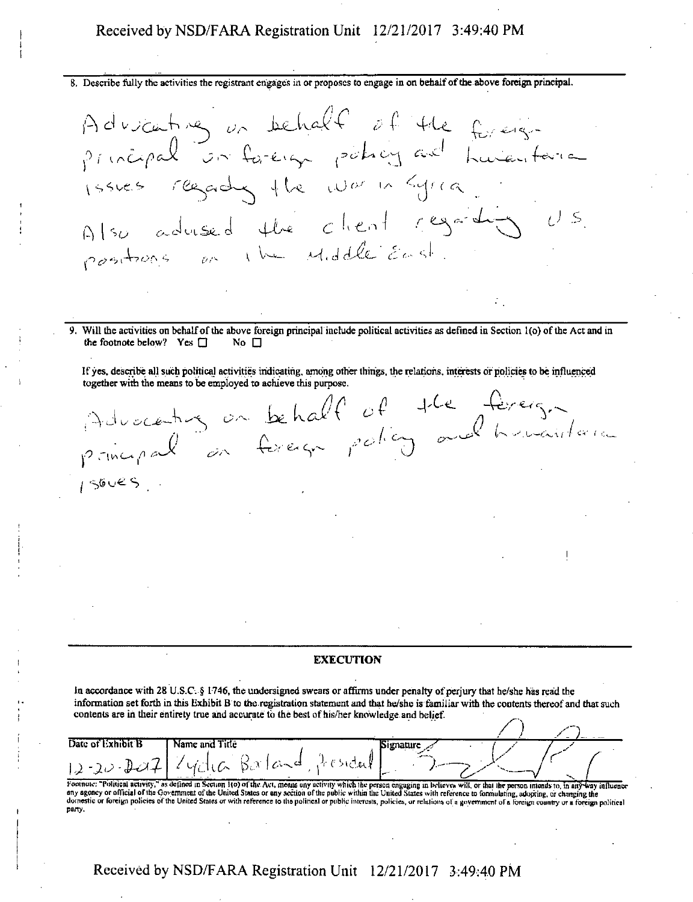#### Received by NSD/FARA Registration Unit 12/21/2017 3:49:40 PM

8. Describe fully the activities the registrant engages in or proposes to engage in on behalfofthe above foreign principal.

**<sup>9</sup>** / C^-*^*Cw^ ty' <sup>i</sup> **■CxJ'i** <sup>~</sup> ■£- ' \*:>l principal on foreign policy and humanitaire  $\iota$ ssues regades the war in Syria  $\overline{J}$  . S  $\Lambda$   $\begin{bmatrix} 1 & 0 & 0 \\ 0 & 0 & 0 \\ 0 & 0 & 0 \end{bmatrix}$ positions on the Middle East.

Will the activities on behalf of the above foreign principal include political activities as defined in Section 1(o) of the Act and in the footnote below? Yes  $\Box$  No  $\Box$ 

Ifyes, describe all such political activities indicating, among other things, the relations, interests or policies to be influenced together with the means to be employed to achieve this purpose.

 $\Delta$ *y> r\vsi~\* ^* ^ *XML n-G J*  $\overline{C}$   $\overline{C}$ *a(l A'L\*-*  $S^2$   $\qquad P^2$   $O^R$   $\qquad$   $O^R$ V , / ft *<sup>l</sup> <sup>c</sup>'-'' <sup>i</sup>* o. 1560ES

#### **EXECUTION**

In accordance with 28 U.S.C. § 1746, the undersigned swears or affirms under penalty of perjury that he/she has read the information set forth in this Exhibit B to the registration statement and that he/she is familiar with the coutents thereof and that such<br>contents are in their entirety true and accurate to the best of his/her knowledge an contents are in their entirety true and accurate to the best of his/her knowledge and belief.

| Date of Exhibit B | Name and Title                                         | . <del>. .</del> |  |
|-------------------|--------------------------------------------------------|------------------|--|
| 1.1               | - K 11<br>- 4<br>$\rightarrow$<br>v.<br>المتمال الأربي |                  |  |
|                   | <b>The State of Street</b><br>--                       |                  |  |

Footnote: "Political activity," as defined in Section 1(0) of the Act, means any activity which the person engaging in believes will, or that the person intends to, in any way influence<br>any agency or official of the Govern party.

# Received by NSD/FARA Registration Unit 12/21/2017 3:49:40 PM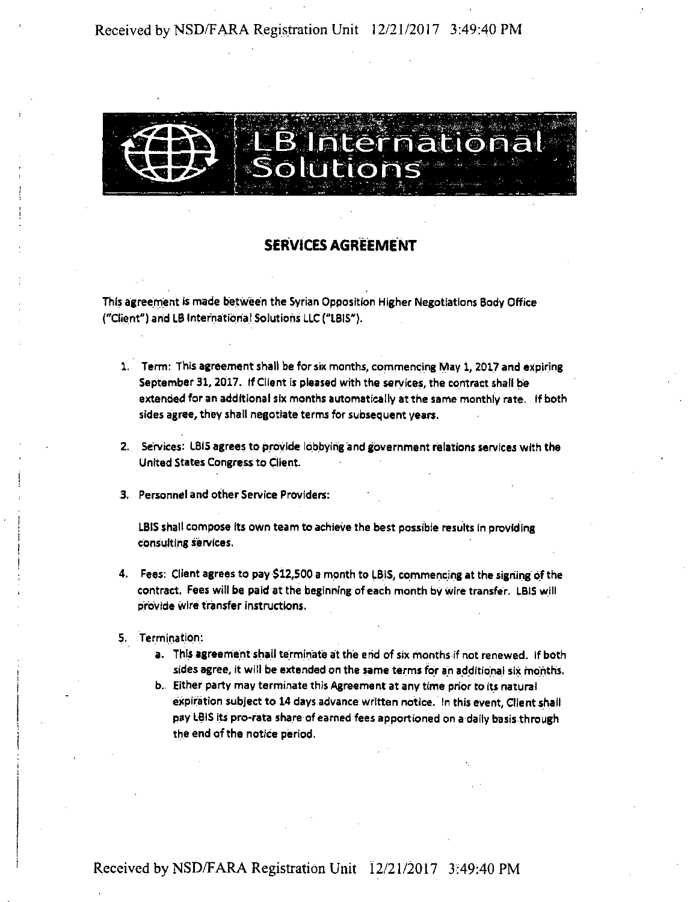

# SERVICES AGREEMENT

This agreement is made between the Syrian Opposition Higher Negotiations Body Office ("Client") and L0 International Solutions LLC("IBIS").

- 1. Term: This agreement shall be for six months, commencing May 1, 2017 and expiring September 31,2017. If Client is pleased with the services, the contract shall be extended for an additional six months automatically atthe same monthly rate. If both sides agree, they shall negotiate terms for subsequent years.
- 2. Services: IBIS agreesto provide lobbying and government relations services with the United States Congressto Client.
- 3. Personnel and other Service Providers:

LBIS shall compose its own team to achieve the best possible results in providing consulting services.

- 4. Fees: Client agrees to pay \$12,500 a month to LBIS, commencing at the sighing ofthe contract. Fees will be paid at the beginning of each month by wire transfer. LBIS will provide wire transfer instructions.
- 5. Termination:
	- a. This agreementshall terminate at the end of six months if not renewed. If both sides agree, it will be extended on the same termsfor an additional six months.
	- b. Either party may terminate this Agreement at any time prior to its natural expiration subject to 14 days advance written notice. In this event, Client shall pay LBIS its pro-rata share of earned fees apportioned on a daily basis through the end of the notice period.